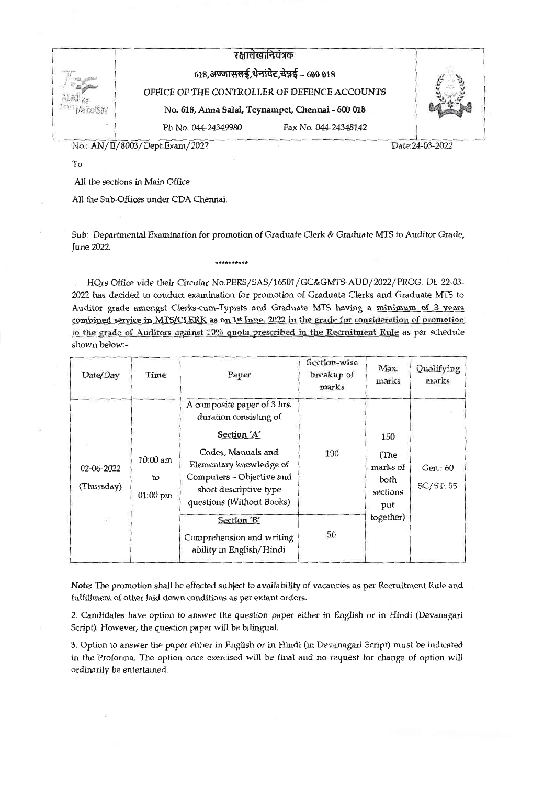

No.: AN/II/8003/Dept.Exam/2022

Date: 24-03-2022

To

All the sections in Main Office

All the Sub-Offices under CDA Chennai.

Sub: Departmental Examination for promotion of Graduate Clerk & Graduate MTS to Auditor Grade, June 2022.

\*\*\*\*\*\*\*\*\*\*

HQrs Office vide their Circular No.PERS/SAS/16501/GC&GMTS-AUD/2022/PROG. Dt. 22-03-2022 has decided to conduct examination for promotion of Graduate Clerks and Graduate MTS to Auditor grade amongst Clerks-cum-Typists and Graduate MTS having a minimum of 3 years combined service in MTS/CLERK as on 1<sup>st</sup> June, 2022 in the grade for consideration of promotion to the grade of Auditors against 10% quota prescribed in the Recruitment Rule as per schedule shown below:-

| Date/Day                 | Time                           | Paper                                                                                                                                                                                                     | Section-wise<br>breakup of<br>marks | Max.<br>marks                                                   | Qualifying<br>marks   |
|--------------------------|--------------------------------|-----------------------------------------------------------------------------------------------------------------------------------------------------------------------------------------------------------|-------------------------------------|-----------------------------------------------------------------|-----------------------|
| 02-06-2022<br>(Thursday) | $10:00$ am<br>to<br>$01:00$ pm | A composite paper of 3 hrs.<br>duration consisting of<br>Section 'A'<br>Codes, Manuals and<br>Elementary knowledge of<br>Computers - Objective and<br>short descriptive type<br>questions (Without Books) | 100                                 | 150<br>(The<br>marks of<br>both<br>sections<br>put<br>together) | Gen.: 60<br>SC/ST: 55 |
| $\epsilon$               |                                | Section 'B'<br>Comprehension and writing<br>ability in English/Hindi                                                                                                                                      | 50                                  |                                                                 |                       |

Note: The promotion shall be effected subject to availability of vacancies as per Recruitment Rule and fulfillment of other laid down conditions as per extant orders.

2. Candidates have option to answer the question paper either in English or in Hindi (Devanagari Script). However, the question paper will be bilingual.

3. Option to answer the paper either in English or in Hindi (in Devanagari Script) must be indicated in the Proforma. The option once exercised will be final and no request for change of option will ordinarily be entertained.